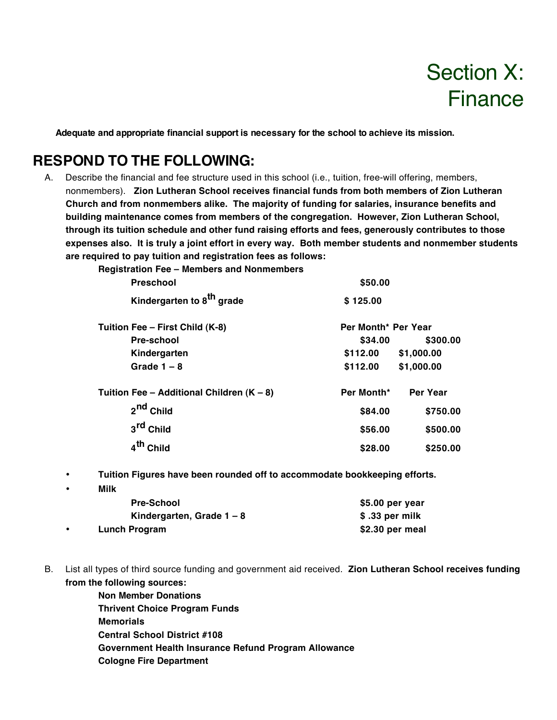# Section X: Finance

**Adequate and appropriate financial support is necessary for the school to achieve its mission.**

# **RESPOND TO THE FOLLOWING:**

A. Describe the financial and fee structure used in this school (i.e., tuition, free-will offering, members, nonmembers). **Zion Lutheran School receives financial funds from both members of Zion Lutheran Church and from nonmembers alike. The majority of funding for salaries, insurance benefits and building maintenance comes from members of the congregation. However, Zion Lutheran School, through its tuition schedule and other fund raising efforts and fees, generously contributes to those expenses also. It is truly a joint effort in every way. Both member students and nonmember students are required to pay tuition and registration fees as follows:**

**Registration Fee – Members and Nonmembers**

| <b>Preschool</b>                            | \$50.00             |            |
|---------------------------------------------|---------------------|------------|
| Kindergarten to 8 <sup>th</sup> grade       | \$125.00            |            |
| Tuition Fee - First Child (K-8)             | Per Month* Per Year |            |
| Pre-school                                  | \$34.00             | \$300.00   |
| Kindergarten                                | \$112.00            | \$1,000.00 |
| Grade $1 - 8$                               | \$112.00            | \$1,000.00 |
| Tuition Fee - Additional Children $(K - 8)$ | Per Month*          | Per Year   |
| 2 <sup>nd</sup> Child                       | \$84.00             | \$750.00   |
| 3 <sup>rd</sup> Child                       | \$56.00             | \$500.00   |
| 4 <sup>th</sup> Child                       | \$28.00             | \$250.00   |

• **Tuition Figures have been rounded off to accommodate bookkeeping efforts.**

| ٠         | Milk                        |                 |
|-----------|-----------------------------|-----------------|
|           | <b>Pre-School</b>           | \$5.00 per year |
|           | Kindergarten, Grade $1 - 8$ | \$.33 per milk  |
| $\bullet$ | Lunch Program               | \$2.30 per meal |
|           |                             |                 |

B. List all types of third source funding and government aid received. **Zion Lutheran School receives funding from the following sources:**

> **Non Member Donations Thrivent Choice Program Funds Memorials Central School District #108 Government Health Insurance Refund Program Allowance Cologne Fire Department**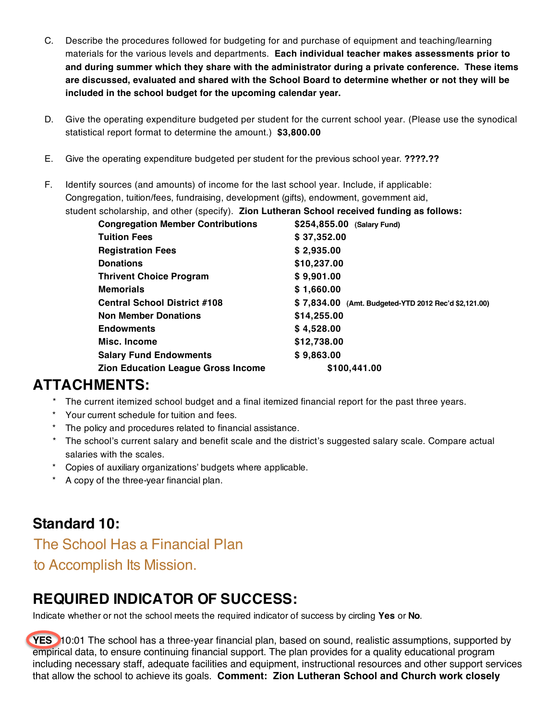- C. Describe the procedures followed for budgeting for and purchase of equipment and teaching/learning materials for the various levels and departments. **Each individual teacher makes assessments prior to and during summer which they share with the administrator during a private conference. These items are discussed, evaluated and shared with the School Board to determine whether or not they will be included in the school budget for the upcoming calendar year.**
- D. Give the operating expenditure budgeted per student for the current school year. (Please use the synodical statistical report format to determine the amount.) **\$3,800.00**
- E. Give the operating expenditure budgeted per student for the previous school year. **????.??**
- F. Identify sources (and amounts) of income for the last school year. Include, if applicable: Congregation, tuition/fees, fundraising, development (gifts), endowment, government aid, student scholarship, and other (specify). **Zion Lutheran School received funding as follows:**

| <b>Congregation Member Contributions</b>  | \$254,855.00 (Salary Fund)                           |
|-------------------------------------------|------------------------------------------------------|
| <b>Tuition Fees</b>                       | \$37,352.00                                          |
| <b>Registration Fees</b>                  | \$2,935.00                                           |
| <b>Donations</b>                          | \$10,237.00                                          |
| <b>Thrivent Choice Program</b>            | \$9,901.00                                           |
| <b>Memorials</b>                          | \$1,660.00                                           |
| <b>Central School District #108</b>       | \$7,834.00 (Amt. Budgeted-YTD 2012 Rec'd \$2,121.00) |
| <b>Non Member Donations</b>               | \$14,255.00                                          |
| <b>Endowments</b>                         | \$4,528.00                                           |
| Misc. Income                              | \$12,738.00                                          |
| <b>Salary Fund Endowments</b>             | \$9,863.00                                           |
| <b>Zion Education League Gross Income</b> | \$100,441.00                                         |

# **ATTACHMENTS:**

- The current itemized school budget and a final itemized financial report for the past three years.
- \* Your current schedule for tuition and fees.
- \* The policy and procedures related to financial assistance.
- \* The school's current salary and benefit scale and the district's suggested salary scale. Compare actual salaries with the scales.
- \* Copies of auxiliary organizations' budgets where applicable.
- \* A copy of the three-year financial plan.

#### **Standard 10:**

The School Has a Financial Plan

to Accomplish Its Mission.

# **REQUIRED INDICATOR OF SUCCESS:**

Indicate whether or not the school meets the required indicator of success by circling **Yes** or **No**.

**YES** 10:01 The school has a three-year financial plan, based on sound, realistic assumptions, supported by empirical data, to ensure continuing financial support. The plan provides for a quality educational program including necessary staff, adequate facilities and equipment, instructional resources and other support services that allow the school to achieve its goals. **Comment: Zion Lutheran School and Church work closely**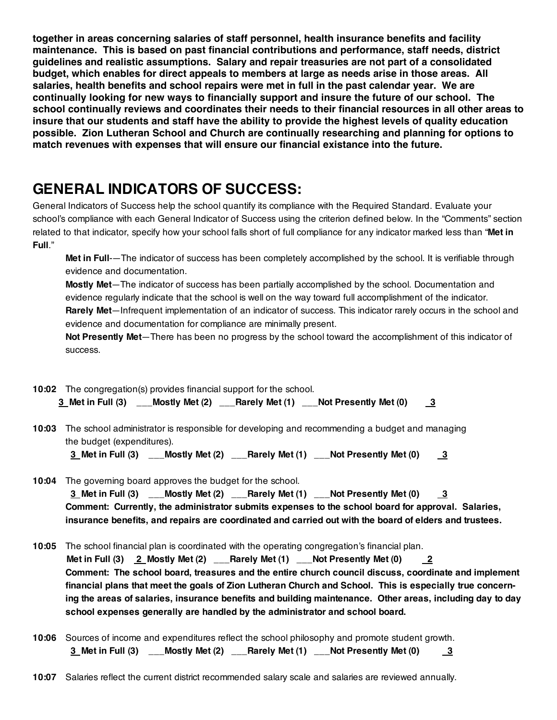**together in areas concerning salaries of staff personnel, health insurance benefits and facility maintenance. This is based on past financial contributions and performance, staff needs, district guidelines and realistic assumptions. Salary and repair treasuries are not part of a consolidated budget, which enables for direct appeals to members at large as needs arise in those areas. All salaries, health benefits and school repairs were met in full in the past calendar year. We are continually looking for new ways to financially support and insure the future of our school. The school continually reviews and coordinates their needs to their financial resources in all other areas to insure that our students and staff have the ability to provide the highest levels of quality education possible. Zion Lutheran School and Church are continually researching and planning for options to match revenues with expenses that will ensure our financial existance into the future.** 

#### **GENERAL INDICATORS OF SUCCESS:**

General Indicators of Success help the school quantify its compliance with the Required Standard. Evaluate your school's compliance with each General Indicator of Success using the criterion defined below. In the "Comments" section related to that indicator, specify how your school falls short of full compliance for any indicator marked less than "**Met in Full**."

**Met in Full**-—The indicator of success has been completely accomplished by the school. It is verifiable through evidence and documentation.

**Mostly Met**—The indicator of success has been partially accomplished by the school. Documentation and evidence regularly indicate that the school is well on the way toward full accomplishment of the indicator. **Rarely Met**—Infrequent implementation of an indicator of success. This indicator rarely occurs in the school and evidence and documentation for compliance are minimally present.

**Not Presently Met**—There has been no progress by the school toward the accomplishment of this indicator of success.

- **10:02** The congregation(s) provides financial support for the school. **3 Met in Full (3) \_\_\_Mostly Met (2) \_\_\_Rarely Met (1) \_\_\_Not Presently Met (0) 3**
- **10:03** The school administrator is responsible for developing and recommending a budget and managing the budget (expenditures).

**3 Met in Full (3) \_\_\_Mostly Met (2) \_\_\_Rarely Met (1) \_\_\_Not Presently Met (0) 3**

- **10:04** The governing board approves the budget for the school. **3 Met in Full (3) \_\_\_Mostly Met (2) \_\_\_Rarely Met (1) \_\_\_Not Presently Met (0) 3 Comment: Currently, the administrator submits expenses to the school board for approval. Salaries, insurance benefits, and repairs are coordinated and carried out with the board of elders and trustees.**
- **10:05** The school financial plan is coordinated with the operating congregation's financial plan. **Met in Full (3) 2 Mostly Met (2) \_\_\_Rarely Met (1) \_\_\_Not Presently Met (0) 2 Comment: The school board, treasures and the entire church council discuss, coordinate and implement** financial plans that meet the goals of Zion Lutheran Church and School. This is especially true concern**ing the areas of salaries, insurance benefits and building maintenance. Other areas, including day to day school expenses generally are handled by the administrator and school board.**
- **10:06** Sources of income and expenditures reflect the school philosophy and promote student growth. **3 Met in Full (3) \_\_\_Mostly Met (2) \_\_\_Rarely Met (1) \_\_\_Not Presently Met (0) 3**
- **10:07** Salaries reflect the current district recommended salary scale and salaries are reviewed annually.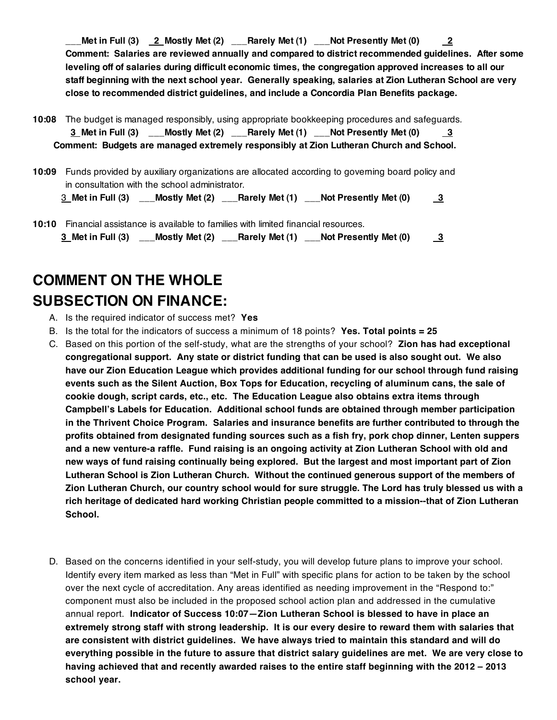**\_\_\_Met in Full (3) 2 Mostly Met (2) \_\_\_Rarely Met (1) \_\_\_Not Presently Met (0) 2 Comment: Salaries are reviewed annually and compared to district recommended guidelines. After some leveling off of salaries during difficult economic times, the congregation approved increases to all our staff beginning with the next school year. Generally speaking, salaries at Zion Lutheran School are very close to recommended district guidelines, and include a Concordia Plan Benefits package.**

- **10:08** The budget is managed responsibly, using appropriate bookkeeping procedures and safeguards. **3 Met in Full (3) \_\_\_Mostly Met (2) \_\_\_Rarely Met (1) \_\_\_Not Presently Met (0) 3 Comment: Budgets are managed extremely responsibly at Zion Lutheran Church and School.**
- **10:09** Funds provided by auxiliary organizations are allocated according to governing board policy and in consultation with the school administrator.

3 **Met in Full (3) \_\_\_Mostly Met (2) \_\_\_Rarely Met (1) \_\_\_Not Presently Met (0) 3**

**10:10** Financial assistance is available to families with limited financial resources. **3 Met in Full (3) \_\_\_Mostly Met (2) \_\_\_Rarely Met (1) \_\_\_Not Presently Met (0) 3**

# **COMMENT ON THE WHOLE SUBSECTION ON FINANCE:**

- A. Is the required indicator of success met? **Yes**
- B. Is the total for the indicators of success a minimum of 18 points? **Yes. Total points = 25**
- C. Based on this portion of the self-study, what are the strengths of your school? **Zion has had exceptional congregational support. Any state or district funding that can be used is also sought out. We also have our Zion Education League which provides additional funding for our school through fund raising events such as the Silent Auction, Box Tops for Education, recycling of aluminum cans, the sale of cookie dough, script cards, etc., etc. The Education League also obtains extra items through Campbell's Labels for Education. Additional school funds are obtained through member participation in the Thrivent Choice Program. Salaries and insurance benefits are further contributed to through the profits obtained from designated funding sources such as a fish fry, pork chop dinner, Lenten suppers and a new venture-a raffle. Fund raising is an ongoing activity at Zion Lutheran School with old and new ways of fund raising continually being explored. But the largest and most important part of Zion Lutheran School is Zion Lutheran Church. Without the continued generous support of the members of Zion Lutheran Church, our country school would for sure struggle. The Lord has truly blessed us with a rich heritage of dedicated hard working Christian people committed to a mission--that of Zion Lutheran School.**
- D. Based on the concerns identified in your self-study, you will develop future plans to improve your school. Identify every item marked as less than "Met in Full" with specific plans for action to be taken by the school over the next cycle of accreditation. Any areas identified as needing improvement in the "Respond to:" component must also be included in the proposed school action plan and addressed in the cumulative annual report. **Indicator of Success 10:07—Zion Lutheran School is blessed to have in place an extremely strong staff with strong leadership. It is our every desire to reward them with salaries that are consistent with district guidelines. We have always tried to maintain this standard and will do everything possible in the future to assure that district salary guidelines are met. We are very close to having achieved that and recently awarded raises to the entire staff beginning with the 2012 – 2013 school year.**